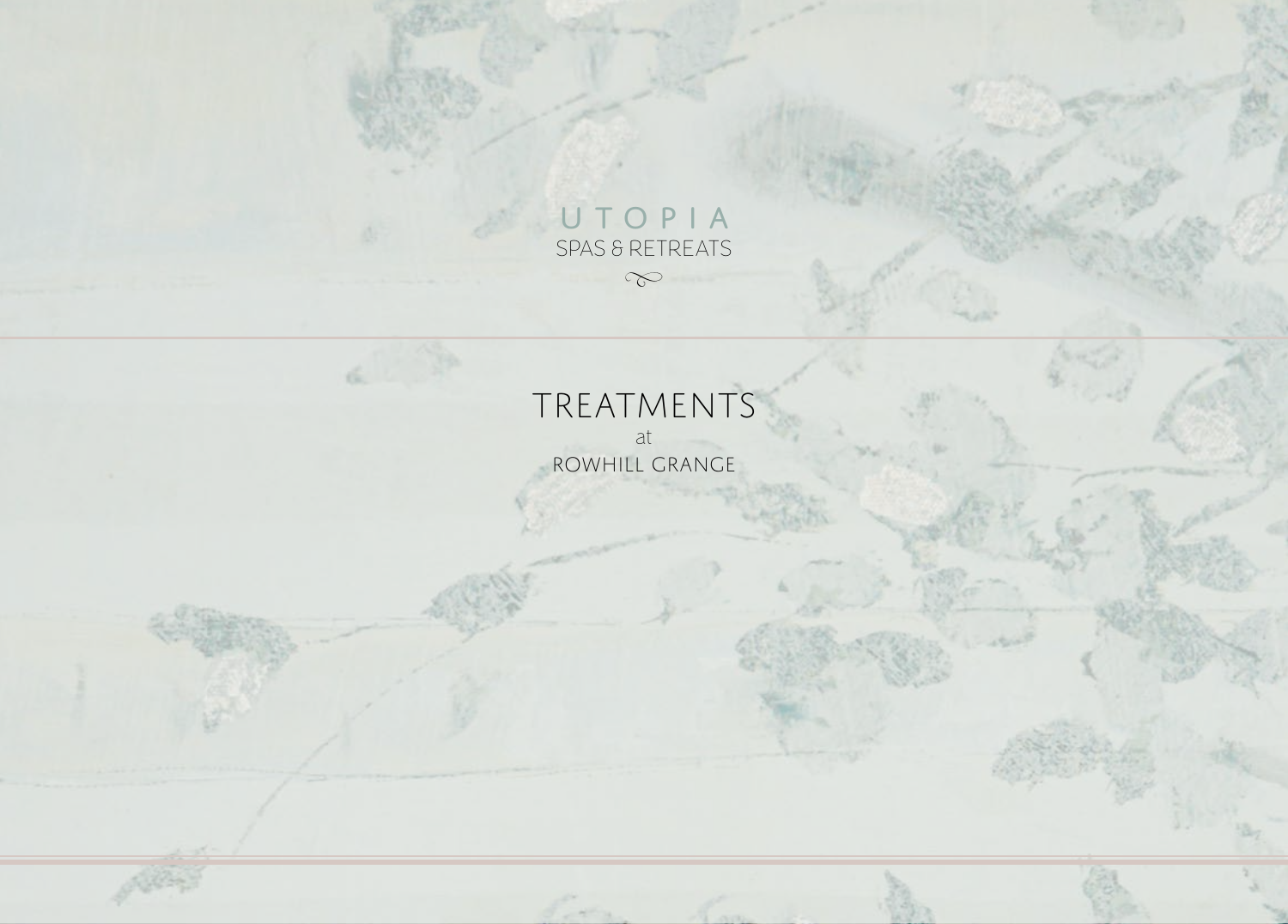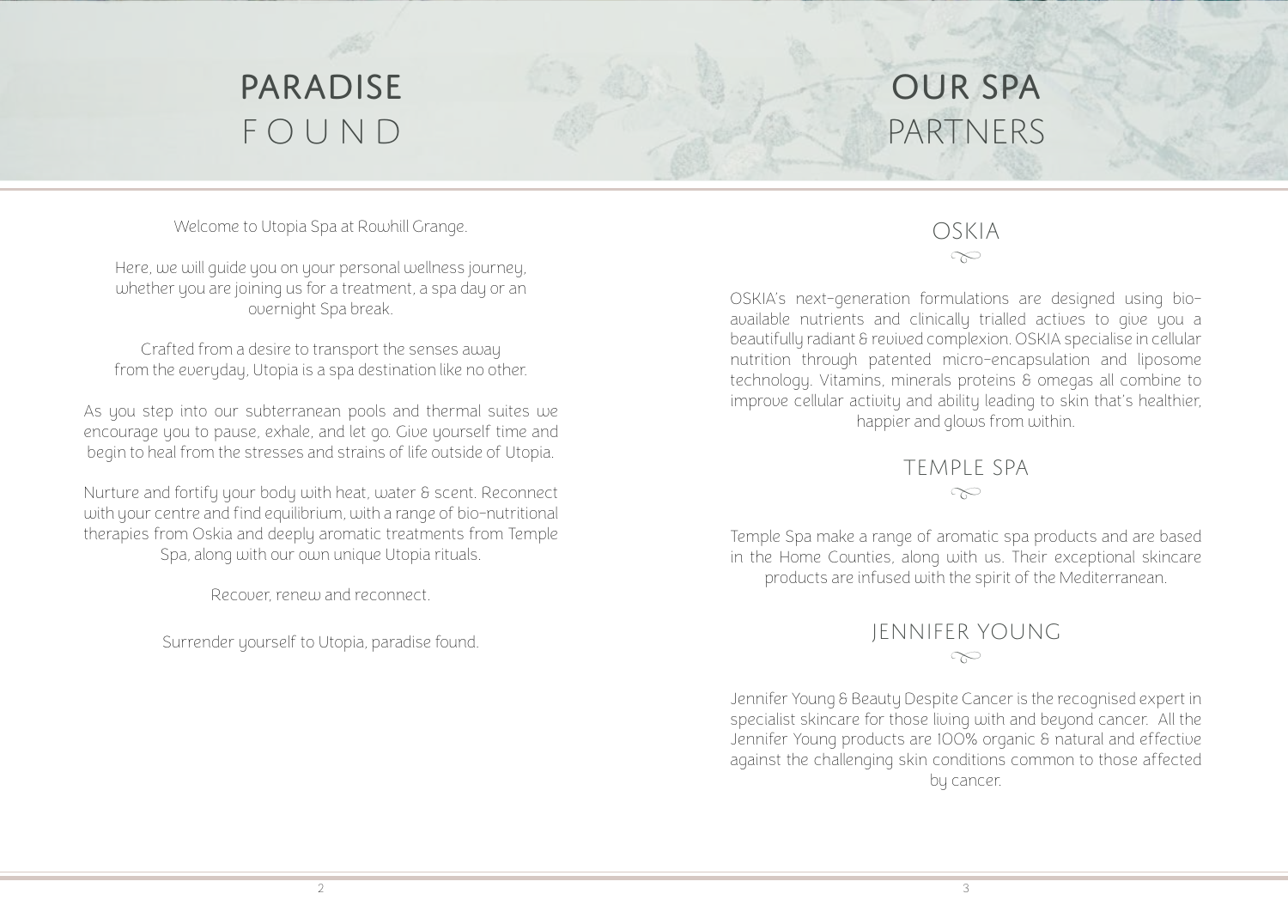

# our spa partners

Welcome to Utopia Spa at Rowhill Grange.

Here, we will guide you on your personal wellness journey, whether you are joining us for a treatment, a spa day or an overnight Spa break.

Crafted from a desire to transport the senses away from the everyday, Utopia is a spa destination like no other.

As you step into our subterranean pools and thermal suites we encourage you to pause, exhale, and let go. Give yourself time and begin to heal from the stresses and strains of life outside of Utopia.

Nurture and fortify your body with heat, water & scent. Reconnect with your centre and find equilibrium, with a range of bio-nutritional therapies from Oskia and deeply aromatic treatments from Temple Spa, along with our own unique Utopia rituals.

Recover, renew and reconnect.

Surrender yourself to Utopia, paradise found.

# OSKIA  $\infty$

OSKIA's next-generation formulations are designed using bioavailable nutrients and clinically trialled actives to give you a beautifully radiant & revived complexion. OSKIA specialise in cellular nutrition through patented micro-encapsulation and liposome technology. Vitamins, minerals proteins & omegas all combine to improve cellular activity and ability leading to skin that's healthier, happier and glows from within.

> TEMPLE SPA  $\infty$

Temple Spa make a range of aromatic spa products and are based in the Home Counties, along with us. Their exceptional skincare products are infused with the spirit of the Mediterranean.

# JENNIFER YOUNG  $\infty$

Jennifer Young & Beauty Despite Cancer is the recognised expert in specialist skincare for those living with and beyond cancer. All the Jennifer Young products are 100% organic & natural and effective against the challenging skin conditions common to those affected by cancer.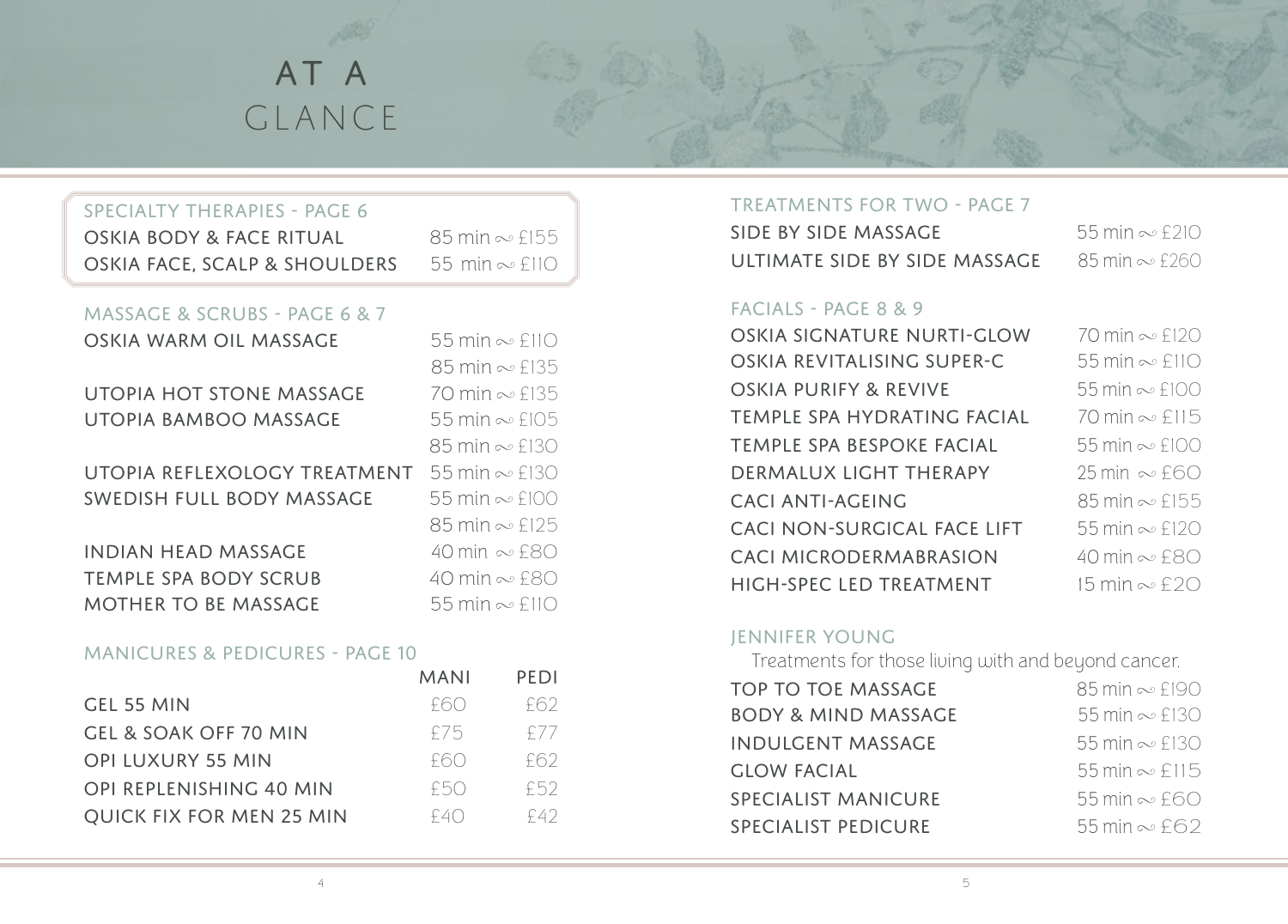

# specialty therapies - Page 6 OSKIA BODY & FACE RITUAL  $85 \text{ min} \approx £155$ OSKIA FACE, SCALP & SHOULDERS  $55$  min  $\sim$  £110

# MASSAGE & SCRUBS - page 6 & 7

| 55 min $\infty$ £110          |
|-------------------------------|
| 85 min $\sim$ £135            |
| 70 min ~ £135                 |
| 55 min $\infty$ £105          |
| $85 \text{ min} \approx £130$ |
| 55 min $\infty$ £130          |
| 55 min $\infty$ £100          |
| $85 \text{ min} \approx £125$ |
| 40 min ~£80                   |
| 40 min $\infty$ £80           |
| 55 min $\sim$ £110            |
|                               |

#### manicures & pedicures - page 10

| <b>MANI</b> | PEDI  |
|-------------|-------|
| F60         | £62.  |
| f75         | f 7 7 |
| f60         | f62   |
| F50         | £52   |
| f40         | F42   |
|             |       |

#### treatments for two - page 7

| SIDE BY SIDE MASSAGE          | 55 min $\infty$ £210 |
|-------------------------------|----------------------|
| ULTIMATE SIDE BY SIDE MASSAGE | 85 min $\sim$ £260   |

### facials - page 8 & 9

| OSKIA SIGNATURE NURTI-GLOW    |
|-------------------------------|
| OSKIA REVITALISING SUPER-C    |
| OSKIA PURIFY & REVIVE         |
| TEMPLE SPA HYDRATING FACIAL   |
| TEMPLE SPA BESPOKE FACIAL     |
| DERMALUX LIGHT THERAPY        |
| CACLANTI-AGFING               |
| CACI NON-SURGICAL FACE LIFT   |
| <b>CACI MICRODERMABRASION</b> |
| HIGH-SPFC I FD TRFATMENT      |

 min  $\infty$  £120 min  $\infty$  £110 min  $\infty$  £100 min  $\infty$  £115 min  $\infty$  £100 min  $\infty$  £60 min  $\infty$  £155 55 min  $\infty$  £120 min  $\infty$  £80 min  $\infty$  £20

# JENNIFER YOUNG

Treatments for those living with and beyond cancer.

| <b>TOP TO TOE MASSAGE</b>      | $85 \text{ min} \sim £190$ |
|--------------------------------|----------------------------|
| <b>BODY &amp; MIND MASSAGE</b> | 55 min $\sim$ £130         |
| <b>INDULGENT MASSAGE</b>       | 55 min $\infty$ £130       |
| <b>GLOW FACIAL</b>             | 55 min $\infty$ £115       |
| <b>SPECIALIST MANICURE</b>     | $55$ min $\sim$ £60        |
| <b>SPECIALIST PEDICURE</b>     | 55 min $\sim$ £62          |
|                                |                            |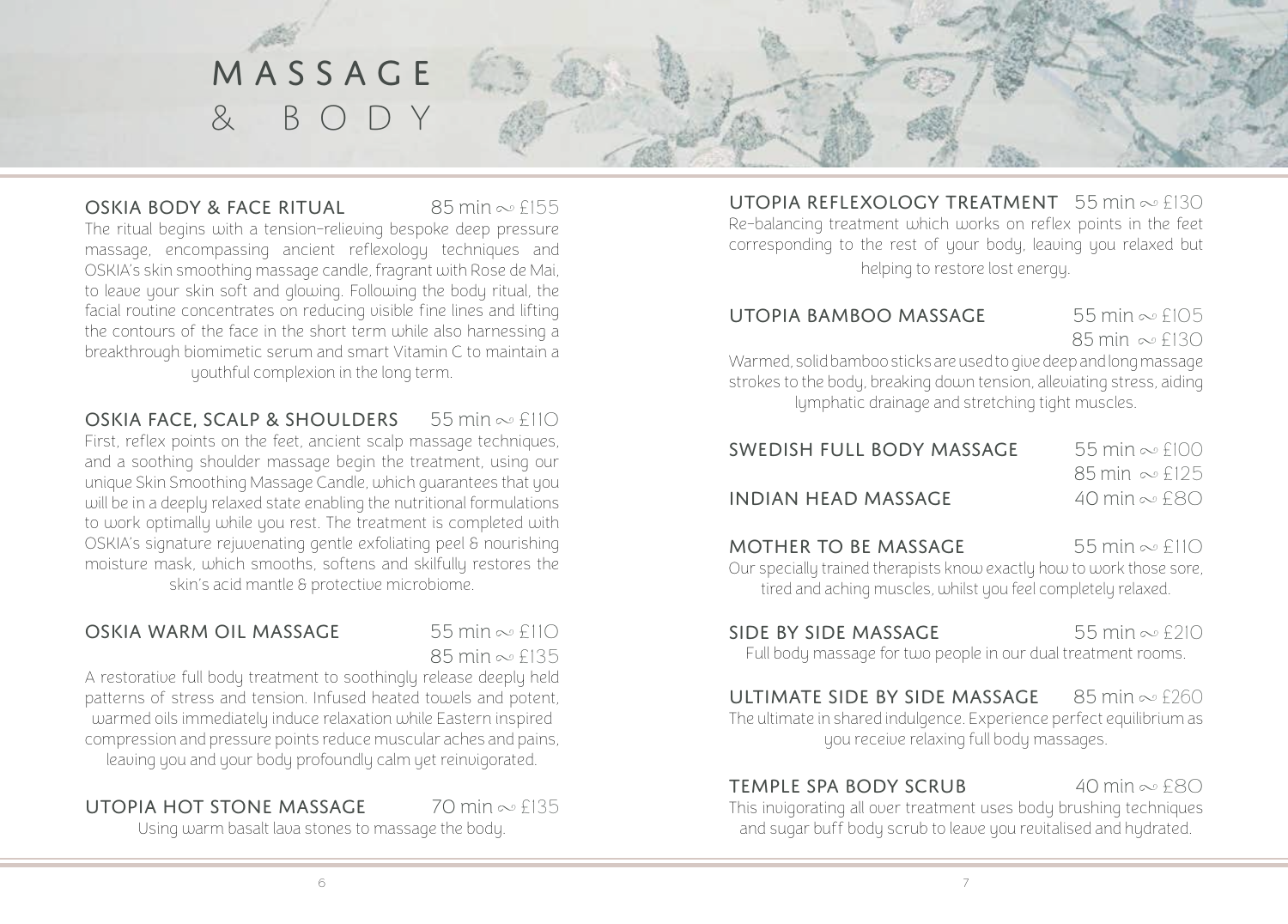

#### OSKIA BODY & FACE RITUAL 85 min  $\infty$  £155

The ritual begins with a tension-relieving bespoke deep pressure massage, encompassing ancient reflexology techniques and OSKIA's skin smoothing massage candle, fragrant with Rose de Mai, to leave your skin soft and glowing. Following the body ritual, the facial routine concentrates on reducing visible fine lines and lifting the contours of the face in the short term while also harnessing a breakthrough biomimetic serum and smart Vitamin C to maintain a youthful complexion in the long term.

#### OSKIA FACE, SCALP & SHOULDERS  $55 \text{ min} \approx £110$

First, reflex points on the feet, ancient scalp massage techniques, and a soothing shoulder massage begin the treatment, using our unique Skin Smoothing Massage Candle, which guarantees that you will be in a deeply relaxed state enabling the nutritional formulations to work optimally while you rest. The treatment is completed with OSKIA's signature rejuvenating gentle exfoliating peel & nourishing moisture mask, which smooths, softens and skilfully restores the skin's acid mantle & protective microbiome.

### OSKIA WARM OIL MASSAGE 55 min  $\infty$  £110

 $85$  min  $\infty$   $f135$ 

A restorative full body treatment to soothingly release deeply held patterns of stress and tension. Infused heated towels and potent, warmed oils immediately induce relaxation while Eastern inspired compression and pressure points reduce muscular aches and pains, leaving you and your body profoundly calm yet reinvigorated.

#### UTOPIA HOT STONE MASSAGE  $70 \text{ min} \approx 6135$

Using warm basalt lava stones to massage the body.

UTOPIA REFLEXOLOGY TREATMENT  $55$  min  $\infty$  £130 Re-balancing treatment which works on reflex points in the feet corresponding to the rest of your body, leaving you relaxed but helping to restore lost energy.

### UTOPIA BAMBOO MASSAGE 55 min  $\infty$  £105

85 min  $\infty$  £130

Warmed, solid bamboo sticks are used to give deep and long massage strokes to the body, breaking down tension, alleviating stress, aiding lymphatic drainage and stretching tight muscles.

| SWEDISH FULL BODY MASSAGE  | $55$ min $\sim$ £100          |
|----------------------------|-------------------------------|
|                            | $85 \text{ min} \approx f125$ |
| <b>INDIAN HEAD MASSAGE</b> | 40 min $\sim$ £80             |
|                            |                               |

**MOTHER TO BE MASSAGE** 55 min  $\infty$  £110 Our specially trained therapists know exactly how to work those sore, tired and aching muscles, whilst you feel completely relaxed.

SIDE BY SIDE MASSAGE 55 min  $\in$  £210

Full body massage for two people in our dual treatment rooms.

#### ULTIMATE SIDE BY SIDE MASSAGE  $85 \text{ min} \approx 6260$

The ultimate in shared indulgence. Experience perfect equilibrium as you receive relaxing full body massages.

#### TEMPLE SPA RODY SCRUB  $40 \text{ min} \approx $80$

This invigorating all over treatment uses body brushing techniques and sugar buff body scrub to leave you revitalised and hydrated.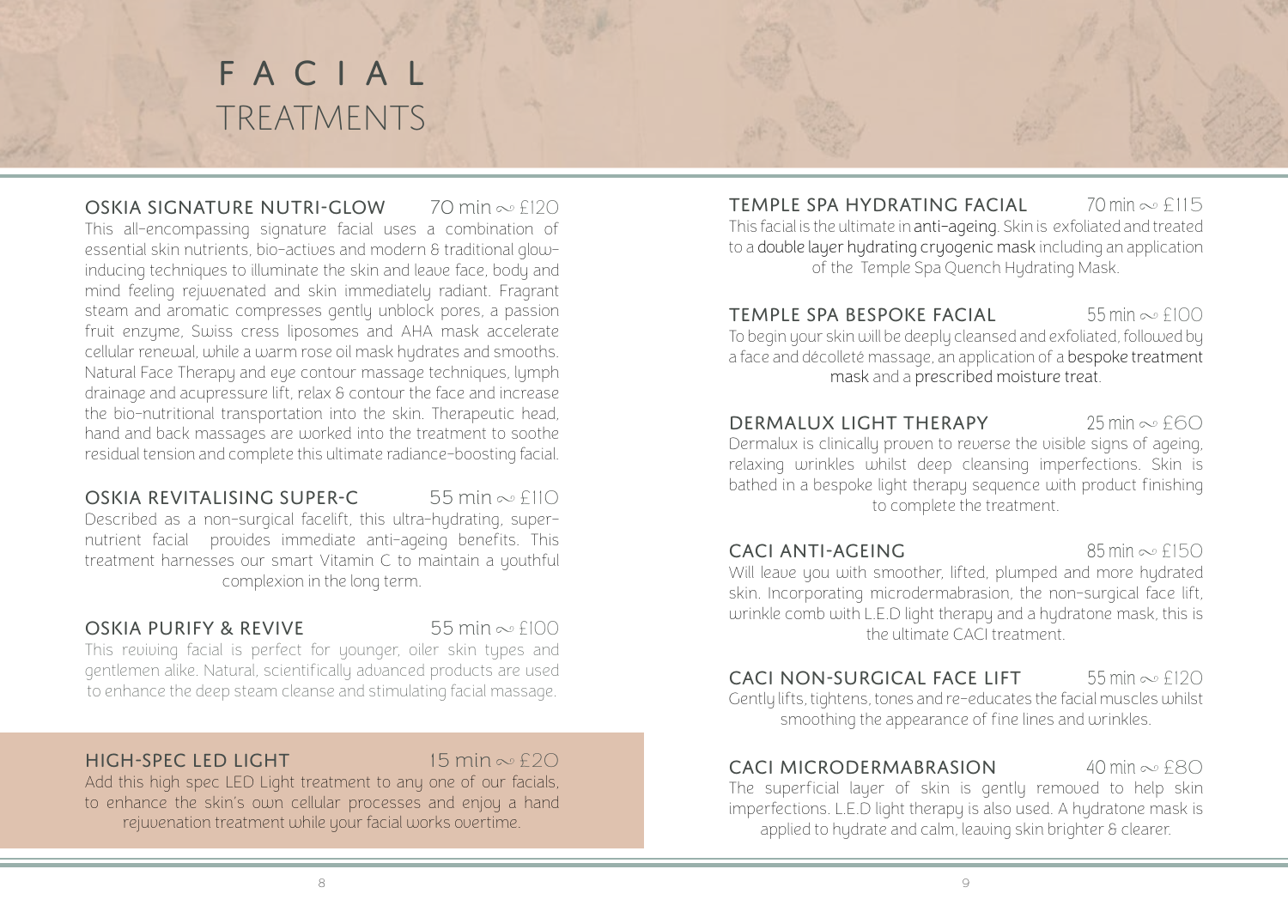# facial **TREATMENTS**

OSKIA SIGNATURE NUTRI-GLOW  $70 \text{ min} \approx $120$ This all-encompassing signature facial uses a combination of essential skin nutrients, bio-actives and modern & traditional glowinducing techniques to illuminate the skin and leave face, body and mind feeling rejuvenated and skin immediately radiant. Fragrant steam and aromatic compresses gently unblock pores, a passion fruit enzyme, Swiss cress liposomes and AHA mask accelerate cellular renewal, while a warm rose oil mask hydrates and smooths. Natural Face Therapy and eye contour massage techniques, lymph drainage and acupressure lift, relax & contour the face and increase the bio-nutritional transportation into the skin. Therapeutic head, hand and back massages are worked into the treatment to soothe residual tension and complete this ultimate radiance-boosting facial.

OSKIA REVITALISING SUPER-C 55 min  $\infty$  £110 Described as a non-surgical facelift, this ultra-hydrating, supernutrient facial provides immediate anti-ageing benefits. This treatment harnesses our smart Vitamin C to maintain a youthful complexion in the long term.

#### OSKIA PURIFY & REVIVE  $55 \text{ min} \approx f100$

This reviving facial is perfect for younger, oiler skin types and gentlemen alike. Natural, scientifically advanced products are used to enhance the deep steam cleanse and stimulating facial massage.

# $HICH-SPFC IFD IICHT$  15 min  $\approx$  £20

Add this high spec LED Light treatment to any one of our facials, to enhance the skin's own cellular processes and enjoy a hand rejuvenation treatment while your facial works overtime.

**TEMPLE SPA HYDRATING FACIAL**  $\frac{70 \text{ min}}{90 \text{ min}}$   $\approx$  £115 This facial is the ultimate in anti-ageing. Skin is exfoliated and treated to a double layer hydrating cryogenic mask including an application of the Temple Spa Quench Hydrating Mask.

**TEMPLE SPA BESPOKE FACIAL** 55 min  $\infty$  £100 To begin your skin will be deeply cleansed and exfoliated, followed by a face and décolleté massage, an application of a bespoke treatment mask and a prescribed moisture treat.

# DERMALUX LIGHT THERAPY  $25 \text{ min} \approx f60$

Dermalux is clinically proven to reverse the visible signs of ageing, relaxing wrinkles whilst deep cleansing imperfections. Skin is bathed in a bespoke light therapy sequence with product finishing to complete the treatment.

# **CACI ANTI-AGEING** 85 min  $\infty$  £150

Will leave you with smoother, lifted, plumped and more hydrated skin. Incorporating microdermabrasion, the non-surgical face lift, wrinkle comb with L.E.D light therapy and a hydratone mask, this is the ultimate CACI treatment.

# **CACI NON-SURGICAL FACE LIFT** 55 min  $\infty$  £120

Gently lifts, tightens, tones and re-educates the facial muscles whilst smoothing the appearance of fine lines and wrinkles.

# $CACI$  MICRODERMABRASION  $40$  min  $\infty$  £80

The superficial layer of skin is gently removed to help skin imperfections. L.E.D light therapy is also used. A hydratone mask is applied to hydrate and calm, leaving skin brighter & clearer.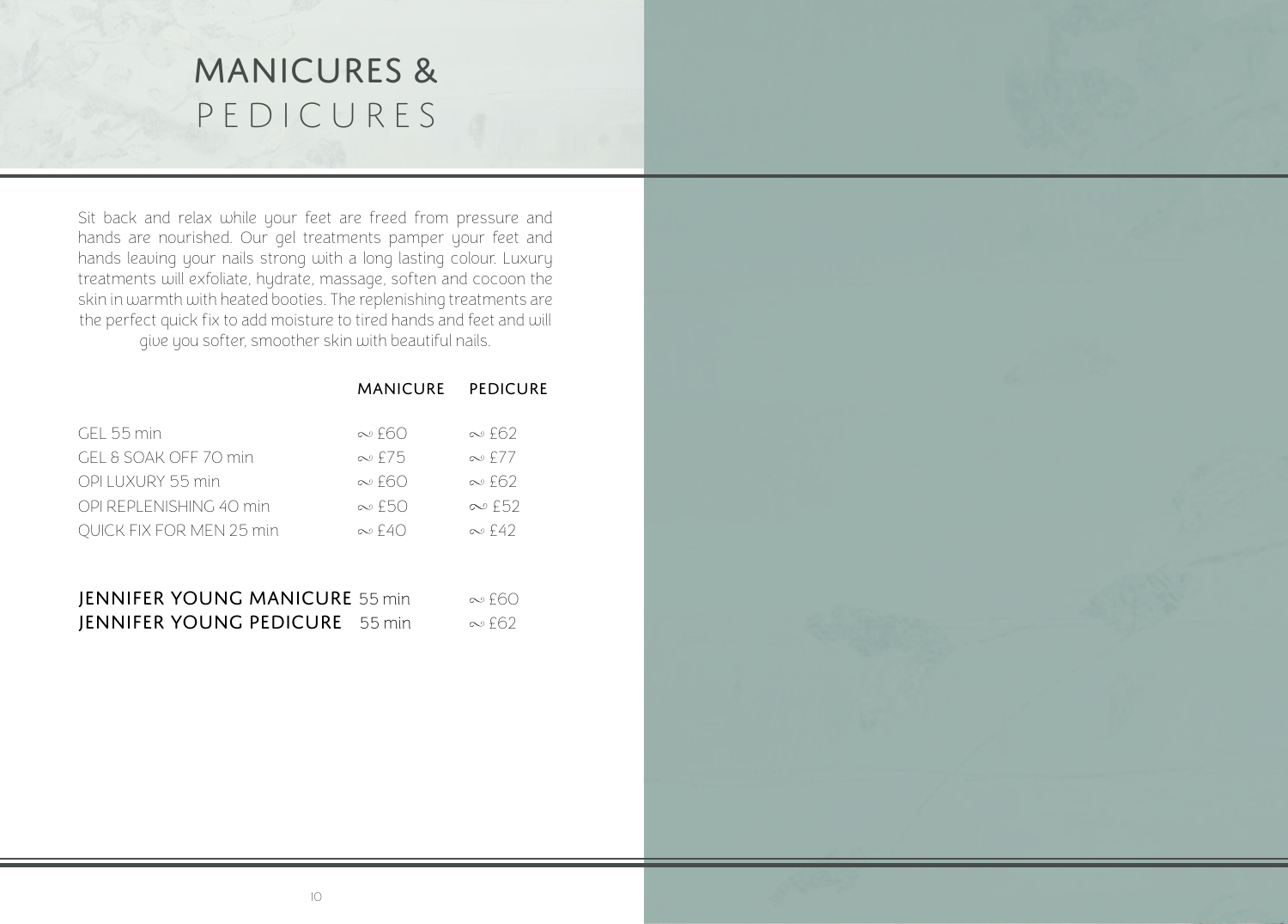# MANICURES & PEDICURES

Sit back and relax while your feet are freed from pressure and hands are nourished. Our gel treatments pamper your feet and hands leaving your nails strong with a long lasting colour. Luxury treatments will exfoliate, hydrate, massage, soften and cocoon the skin in warmth with heated booties. The replenishing treatments are the perfect quick fix to add moisture to tired hands and feet and will give you softer, smoother skin with beautiful nails.

|                                 | MANICURE PEDICURE |               |
|---------------------------------|-------------------|---------------|
| $GFL$ 55 min                    | $\infty$ f60      | $\infty$ f62  |
| GEL & SOAK OFF 70 min           | $\infty$ f 7.5    | $\infty$ f 77 |
| OPI LUXURY 55 min               | $\infty$ f60      | $\infty$ f62  |
| OPI REPLENISHING 40 min         | $\infty$ f50      | $\infty$ f52  |
| <b>OUICK FIX FOR MEN 25 min</b> | $\infty$ f40      | $\infty$ f42  |
|                                 |                   |               |

| <b>JENNIFER YOUNG MANICURE 55 min</b> | ∾ f60 |
|---------------------------------------|-------|
| <b>JENNIFER YOUNG PEDICURE</b> 55 min | ∾£62  |